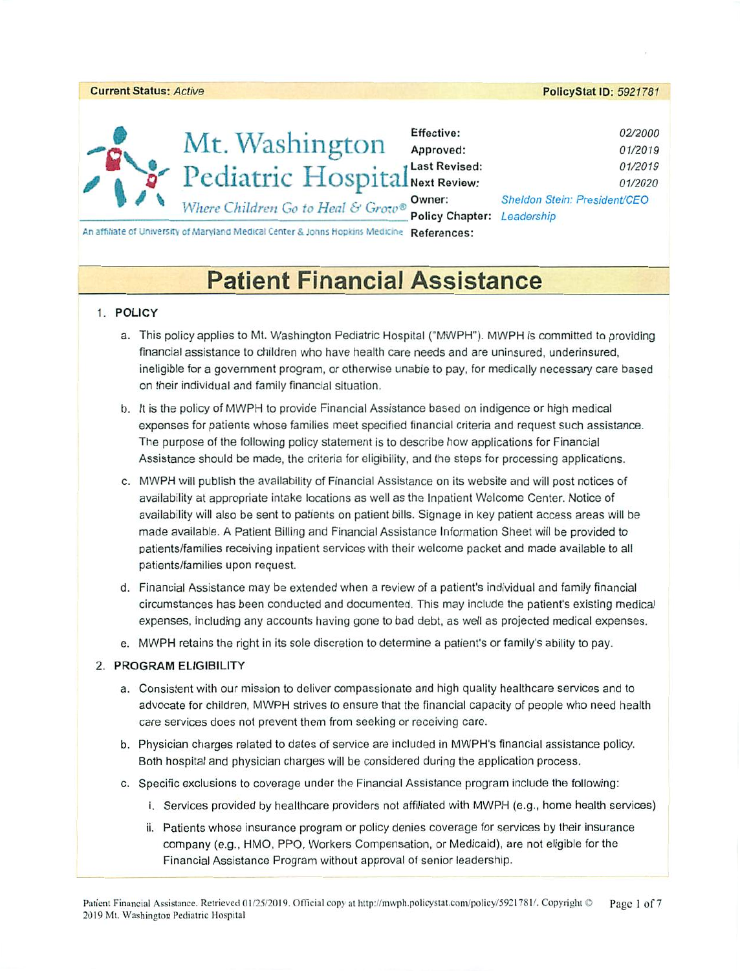|        |                                                                                            |                            | . 5.001                      |
|--------|--------------------------------------------------------------------------------------------|----------------------------|------------------------------|
|        |                                                                                            |                            |                              |
|        |                                                                                            | Effective:                 | 02/2000                      |
|        | Mt. Washington                                                                             | Approved:                  | 01/2019                      |
|        | Pediatric HospitalNext Revised:                                                            |                            | 01/2019                      |
| $\sim$ |                                                                                            |                            | 01/2020                      |
|        | Where Children Go to Heal & Grow®                                                          | Owner:                     | Sheldon Stein: President/CEO |
|        |                                                                                            | Policy Chapter: Leadership |                              |
|        | An affiliate of University of Maryland Medical Center & Johns Hopkins Medicine References: |                            |                              |

PolicyStat ID: 5921781

# **Patient Financial Assistance**

# 1. POLICY

Current Status: Active

- a. This policy applies to Mt. Washington Pediatric Hospital ("MWPH"). MWPH is committed to providing financial assistance to children who have health care needs and are uninsured, underinsured, ineligible for a government program, or otherwise unable to pay, for medically necessary care based on their individual and family financial situation.
- b. It is the policy of MWPH to provide Financial Assistance based on indigence or high medical expenses for patients whose families meet specified financial criteria and request such assistance. The purpose of the following policy statement is to describe how applications for Financial Assistance should be made, the criteria for eligibility, and the steps for processing applications.
- c. MWPH will publish the availability of Financial Assistance on its website and will post notices of availability at appropriate intake locations as well as the Inpatient Welcome Center. Notice of availability will also be sent to patients on patient bills. Signage in key patient access areas will be made available. A Patient Billing and Financial Assistance Information Sheet will be provided to patients/families receiving inpatient services with their welcome packet and made available to all patients/families upon request.
- d. Financial Assistance may be extended when a review of a patient's individual and family financial circumstances has been conducted and documented. This may include the patient's existing medical expenses, including any accounts having gone to bad debt, as well as projected medical expenses.
- e. MWPH retains the right in its sole discretion to determine a patient's or family's ability to pay.

# 2. PROGRAM ELIGIBILITY

- a. Consistent with our mission to deliver compassionate and high quality healthcare services and to advocate for children, MWPH strives to ensure that the financial capacity of people who need health care services does not prevent them from seeking or receiving care.
- b. Physician charges related to dates of service are included in MWPH's financial assistance policy. Both hospital and physician charges will be considered during the application process.
- c. Specific exclusions to coverage under the Financial Assistance program include the following:
	- i. Services provided by healthcare providers not affiliated with MWPH (e.g., home health services)
	- ii. Patients whose insurance program or policy denies coverage for services by their insurance company (e.g., HMO, PPO, Workers Compensation, or Medicaid), are not eligible for the Financial Assistance Program without approval of senior leadership.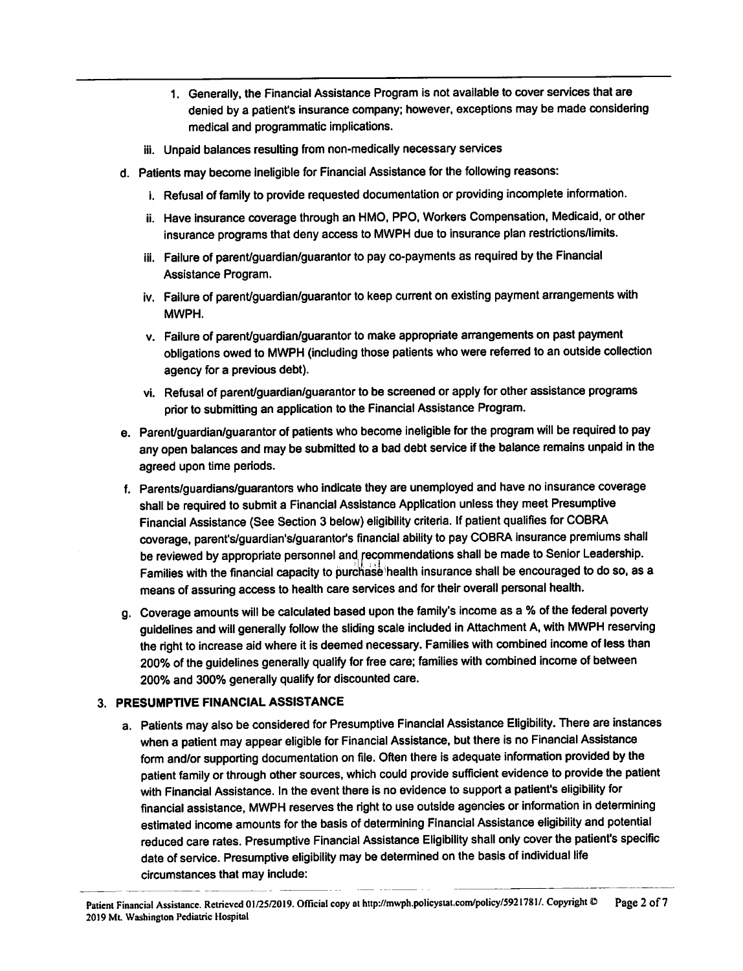- 1. Generally, the Financial Assistance Program is not available to cover services that are denied by a patient's insurance company; however, exceptions may be made considering medical and programmatic implications.
- iii. Unpaid balances resulting from non-medically necessary services
- d. Patients may become ineligible for Financial Assistance for the following reasons:
	- i. Refusal of family to provide requested documentation or providing incomplete information.
	- ii. Have insurance coverage through an HMO, PPO, Workers Compensation, Medicaid, or other insurance programs that deny access to MWPH due to insurance plan restrictions/limits.
	- iii. Failure of parent/guardian/guarantor to pay co-payments as required by the Financial Assistance Program.
	- iv. Failure of parent/guardian/guarantor to keep current on existing payment arrangements with MWPH.
	- v. Failure of parent/guardian/guarantor to make appropriate arrangements on past payment obligations owed to MWPH (including those patients who were referred to an outside collection agency for a previous debt).
	- vi. Refusal of parent/quardian/guarantor to be screened or apply for other assistance programs prior to submitting an application to the Financial Assistance Program.
- e. Parent/guardian/guarantor of patients who become ineligible for the program will be required to pay any open balances and may be submitted to a bad debt service if the balance remains unpaid in the agreed upon time periods.
- f. Parents/guardians/guarantors who indicate they are unemployed and have no insurance coverage shall be required to submit a Financial Assistance Application unless they meet Presumptive Financial Assistance (See Section 3 below) eligibility criteria. If patient qualifies for COBRA coverage, parent's/guardian's/guarantor's financial ability to pay COBRA insurance premiums shall be reviewed by appropriate personnel and recommendations shall be made to Senior Leadership. Families with the financial capacity to purchase health insurance shall be encouraged to do so, as a means of assuring access to health care services and for their overall personal health.
- g. Coverage amounts will be calculated based upon the family's income as a % of the federal poverty guidelines and will generally follow the sliding scale included in Attachment A, with MWPH reserving the right to increase aid where it is deemed necessary. Families with combined income of less than 200% of the guidelines generally qualify for free care; families with combined income of between 200% and 300% generally qualify for discounted care.

#### 3. PRESUMPTIVE FINANCIAL ASSISTANCE

a. Patients may also be considered for Presumptive Financial Assistance Eligibility. There are instances when a patient may appear eligible for Financial Assistance, but there is no Financial Assistance form and/or supporting documentation on file. Often there is adequate information provided by the patient family or through other sources, which could provide sufficient evidence to provide the patient with Financial Assistance. In the event there is no evidence to support a patient's eligibility for financial assistance, MWPH reserves the right to use outside agencies or information in determining estimated income amounts for the basis of determining Financial Assistance eligibility and potential reduced care rates. Presumptive Financial Assistance Eligibility shall only cover the patient's specific date of service. Presumptive eligibility may be determined on the basis of individual life circumstances that may include: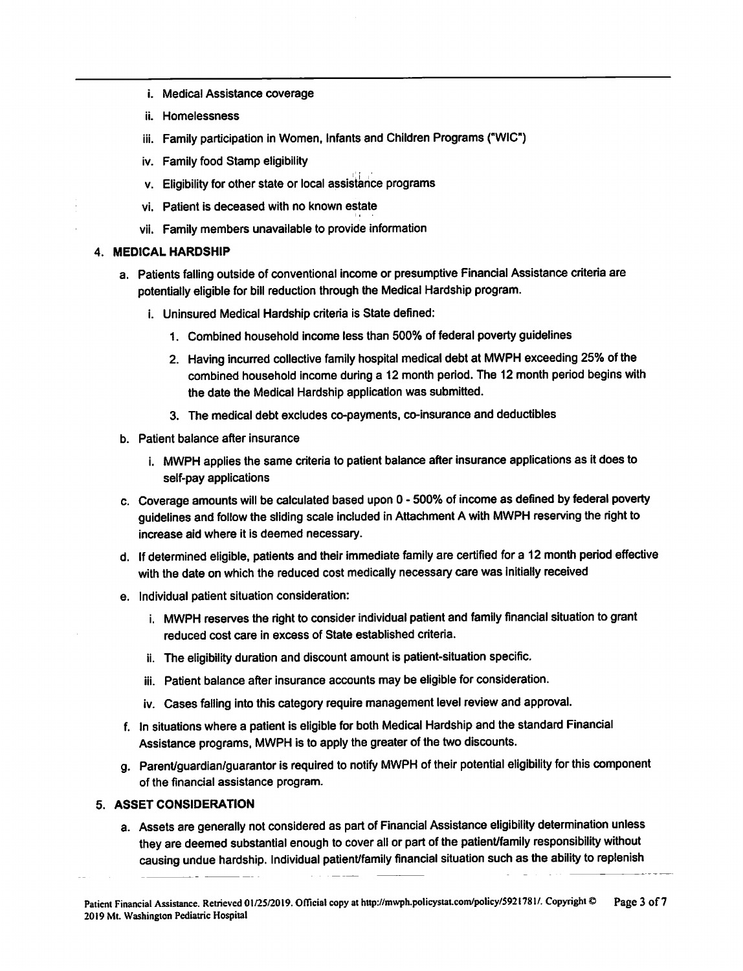- i. Medical Assistance coverage
- ii. Homelessness
- iii. Family participation in Women, Infants and Children Programs ("WIC")
- iv. Family food Stamp eligibility
- v. Eligibility for other state or local assistance programs
- vi. Patient is deceased with no known estate
- vii. Family members unavailable to provide information

#### 4. MEDICAL HARDSHIP

- a. Patients falling outside of conventional income or presumptive Financial Assistance criteria are potentially eligible for bill reduction through the Medical Hardship program.
	- i. Uninsured Medical Hardship criteria is State defined:
		- 1. Combined household income less than 500% of federal poverty guidelines
		- 2. Having incurred collective family hospital medical debt at MWPH exceeding 25% of the combined household income during a 12 month period. The 12 month period begins with the date the Medical Hardship application was submitted.
		- 3. The medical debt excludes co-payments, co-insurance and deductibles
- b. Patient balance after insurance
	- i. MWPH applies the same criteria to patient balance after insurance applications as it does to self-pay applications
- c. Coverage amounts will be calculated based upon 0 500% of income as defined by federal poverty guidelines and follow the sliding scale included in Attachment A with MWPH reserving the right to increase aid where it is deemed necessary.
- d. If determined eligible, patients and their immediate family are certified for a 12 month period effective with the date on which the reduced cost medically necessary care was initially received
- e. Individual patient situation consideration:
	- i. MWPH reserves the right to consider individual patient and family financial situation to grant reduced cost care in excess of State established criteria.
	- ii. The eligibility duration and discount amount is patient-situation specific.
	- iii. Patient balance after insurance accounts may be eligible for consideration.
	- iv. Cases falling into this category require management level review and approval.
- f. In situations where a patient is eligible for both Medical Hardship and the standard Financial Assistance programs, MWPH is to apply the greater of the two discounts.
- g. Parent/guardian/guarantor is required to notify MWPH of their potential eligibility for this component of the financial assistance program.

#### 5. ASSET CONSIDERATION

a. Assets are generally not considered as part of Financial Assistance eligibility determination unless they are deemed substantial enough to cover all or part of the patient/family responsibility without causing undue hardship. Individual patient/family financial situation such as the ability to replenish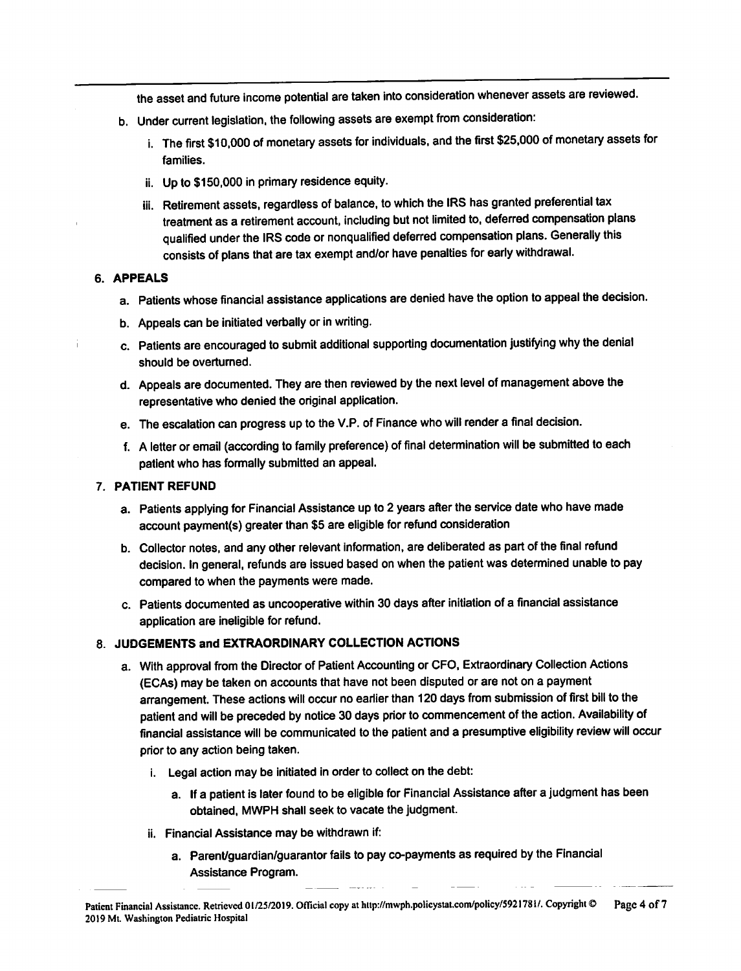the asset and future income potential are taken into consideration whenever assets are reviewed.

- b. Under current legislation, the following assets are exempt from consideration:
	- i. The first \$10,000 of monetary assets for individuals, and the first \$25,000 of monetary assets for families.
	- ii. Up to \$150,000 in primary residence equity.
	- iii. Retirement assets, regardless of balance, to which the IRS has granted preferential tax treatment as a retirement account, including but not limited to, deferred compensation plans qualified under the IRS code or nonqualified deferred compensation plans. Generally this consists of plans that are tax exempt and/or have penalties for early withdrawal.

#### 6. APPEALS

- a. Patients whose financial assistance applications are denied have the option to appeal the decision.
- b. Appeals can be initiated verbally or in writing.
- c. Patients are encouraged to submit additional supporting documentation justifying why the denial should be overturned.
- d. Appeals are documented. They are then reviewed by the next level of management above the representative who denied the original application.
- e. The escalation can progress up to the V.P. of Finance who will render a final decision.
- f. A letter or email (according to family preference) of final determination will be submitted to each patient who has formally submitted an appeal.

#### 7. PATIENT REFUND

- a. Patients applying for Financial Assistance up to 2 years after the service date who have made account payment(s) greater than \$5 are eligible for refund consideration
- b. Collector notes, and any other relevant information, are deliberated as part of the final refund decision. In general, refunds are issued based on when the patient was determined unable to pay compared to when the payments were made.
- c. Patients documented as uncooperative within 30 days after initiation of a financial assistance application are ineligible for refund.

# 8. JUDGEMENTS and EXTRAORDINARY COLLECTION ACTIONS

- a. With approval from the Director of Patient Accounting or CFO, Extraordinary Collection Actions (ECAs) may be taken on accounts that have not been disputed or are not on a payment arrangement. These actions will occur no earlier than 120 days from submission of first bill to the patient and will be preceded by notice 30 days prior to commencement of the action. Availability of financial assistance will be communicated to the patient and a presumptive eligibility review will occur prior to any action being taken.
	- i. Legal action may be initiated in order to collect on the debt:
		- a. If a patient is later found to be eligible for Financial Assistance after a judgment has been obtained, MWPH shall seek to vacate the judgment.
	- ii. Financial Assistance may be withdrawn if:
		- a. Parent/guardian/guarantor fails to pay co-payments as required by the Financial Assistance Program.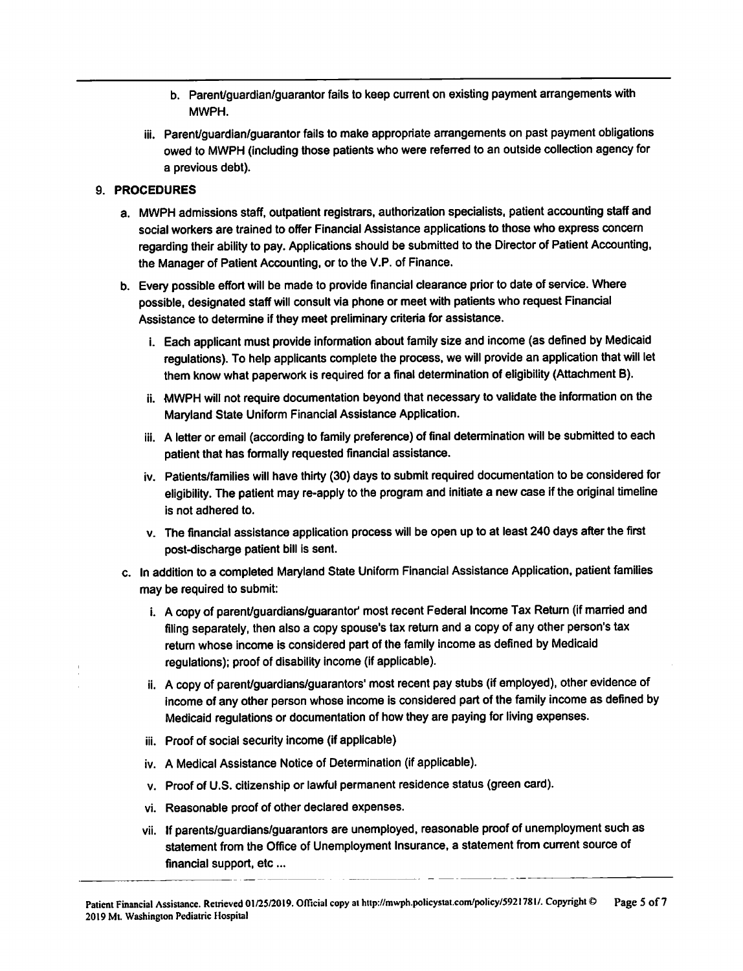- b. Parent/guardian/guarantor fails to keep current on existing payment arrangements with MWPH.
- iii. Parent/guardian/guarantor fails to make appropriate arrangements on past payment obligations owed to MWPH (including those patients who were referred to an outside collection agency for a previous debt).

# 9. PROCEDURES

- a. MWPH admissions staff, outpatient registrars, authorization specialists, patient accounting staff and social workers are trained to offer Financial Assistance applications to those who express concern regarding their ability to pay. Applications should be submitted to the Director of Patient Accounting, the Manager of Patient Accounting, or to the V.P. of Finance.
- b. Every possible effort will be made to provide financial clearance prior to date of service. Where possible, designated staff will consult via phone or meet with patients who request Financial Assistance to determine if they meet preliminary criteria for assistance.
	- i. Each applicant must provide information about family size and income (as defined by Medicaid regulations). To help applicants complete the process, we will provide an application that will let them know what paperwork is required for a final determination of eligibility (Attachment B).
	- ii. MWPH will not require documentation beyond that necessary to validate the information on the Marvland State Uniform Financial Assistance Application.
	- iii. A letter or email (according to family preference) of final determination will be submitted to each patient that has formally requested financial assistance.
	- iv. Patients/families will have thirty (30) days to submit required documentation to be considered for eligibility. The patient may re-apply to the program and initiate a new case if the original timeline is not adhered to.
	- v. The financial assistance application process will be open up to at least 240 days after the first post-discharge patient bill is sent.
- c. In addition to a completed Maryland State Uniform Financial Assistance Application, patient families may be required to submit:
	- i. A copy of parent/guardians/guarantor' most recent Federal Income Tax Return (if married and filing separately, then also a copy spouse's tax return and a copy of any other person's tax return whose income is considered part of the family income as defined by Medicaid regulations); proof of disability income (if applicable).
	- ii. A copy of parent/guardians/guarantors' most recent pay stubs (if employed), other evidence of income of any other person whose income is considered part of the family income as defined by Medicaid regulations or documentation of how they are paying for living expenses.
	- iii. Proof of social security income (if applicable)
	- iv. A Medical Assistance Notice of Determination (if applicable).
	- v. Proof of U.S. citizenship or lawful permanent residence status (green card).
	- vi. Reasonable proof of other declared expenses.
	- vii. If parents/guardians/guarantors are unemployed, reasonable proof of unemployment such as statement from the Office of Unemployment Insurance, a statement from current source of financial support, etc...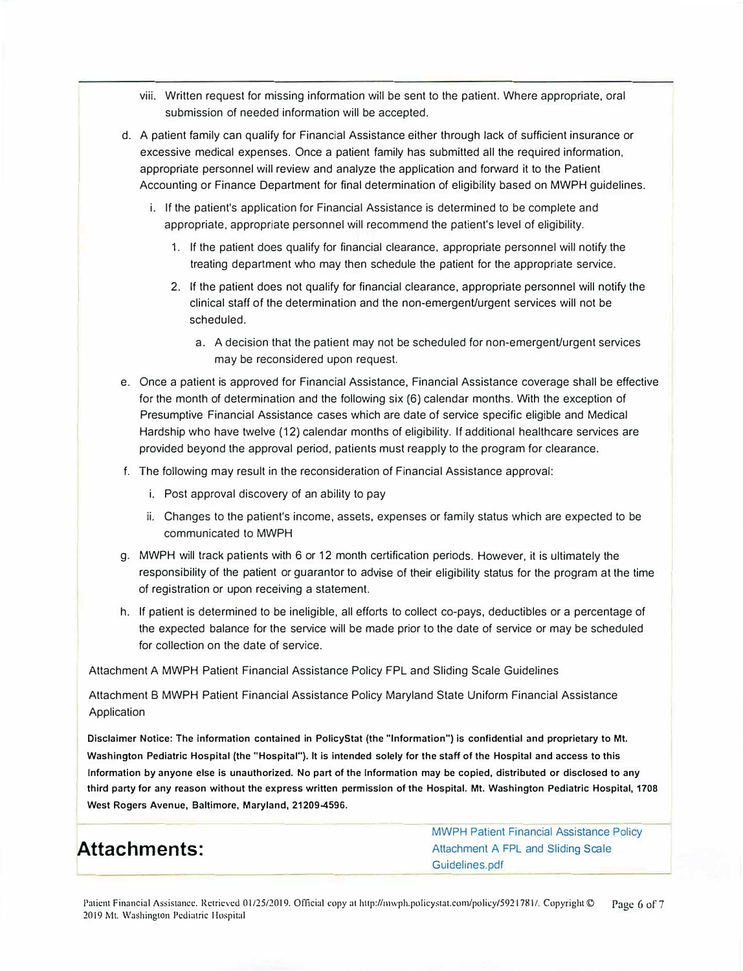- viii. Written request for missing information will be sent to the patient. Where appropriate, oral submission of needed information will be accepted.
- d. A patient family can qualify for Financial Assistance either through lack of sufficient insurance or excessive medical expenses. Once a patient family has submitted all the required information, appropriate personnel will review and analyze the application and forward it to the Patient Accounting or Finance Department for final determination of eligibility based on MWPH guidelines.
	- i. If the patient's application for Financial Assistance is determined to be complete and appropriate, appropriate personnel will recommend the patient's level of eligibility.
		- 1. If the patient does qualify for financial clearance, appropriate personnel will notify the treating department who may then schedule the patient for the appropriate service.
		- 2. If the patient does not qualify for financial clearance, appropriate personnel will notify the clinical staff of the determination and the non-emergent/urgent services will not be scheduled.
			- a. A decision that the patient may not be scheduled for non-emergent/urgent services may be reconsidered upon request.
- e. Once a patient is approved for Financial Assistance, Financial Assistance coverage shall be effective for the month of determination and the following six (6) calendar months. With the exception of Presumptive Financial Assistance cases which are date of service specific eligible and Medical Hardship who have twelve (12) calendar months of eligibility. If additional healthcare services are provided beyond the approval period, patients must reapply to the program for clearance.
- f. The following may result in the reconsideration of Financial Assistance approval:
	- i. Post approval discovery of an ability to pay
	- ii. Changes to the patient's income, assets, expenses or family status which are expected to be communicated to MWPH
- g. MWPH will track patients with 6 or 12 month certification periods. However, it is ultimately the responsibility of the patient or guarantor to advise of their eligibility status for the program at the time of registration or upon receiving a statement.
- h. If patient is determined to be ineligible, all efforts to collect co-pays, deductibles or a percentage of the expected balance for the service will be made prior to the date of service or may be scheduled for collection on the date of service.

Attachment A MWPH Patient Financial Assistance Policy FPL and Sliding Scale Guidelines

Attachment B MWPH Patient Financial Assistance Policy Maryland State Uniform Financial Assistance Application

**Disclaimer Notice: The Information contained in PolicyStat (the "Information") is confidential and proprietary to Mt. Washington Pediatric Hospital (the "Hospital"). It is intended solely for the staff of the Hospital and access to this**  Information by anyone else is unauthorized. No part of the Information may be copied, distributed or disclosed to any **third party for any reason without the express written permission of the Hospital. Mt. Washington Pediatric Hospital, 1708 West Rogers Avenue, Baltimore, Maryland, 21209-4596.** 

# **Attachments:**

[MWPH Patient Financial Assistance Policy](https://www.mwph.org/-/media/files/mwph/patients-and-guests/financial-information-and-assistance/FPL-and-Sliding-Scale-Guidelines-2021.pdf)  [Attachment A FPL and Sliding Scale](https://www.mwph.org/-/media/files/mwph/patients-and-guests/financial-information-and-assistance/FPL-and-Sliding-Scale-Guidelines-2021.pdf)  Guidelines.pdf